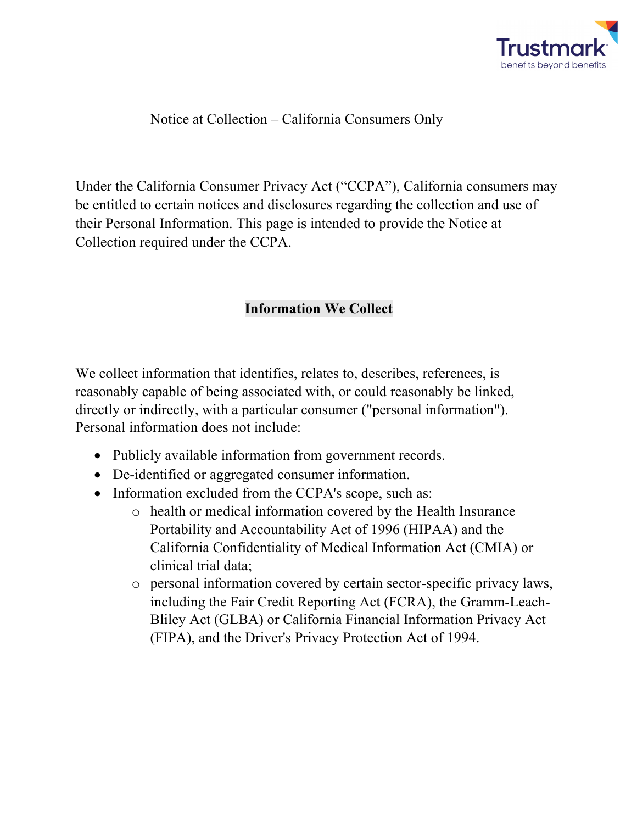

## Notice at Collection – California Consumers Only

Under the California Consumer Privacy Act ("CCPA"), California consumers may be entitled to certain notices and disclosures regarding the collection and use of their Personal Information. This page is intended to provide the Notice at Collection required under the CCPA.

## **Information We Collect**

We collect information that identifies, relates to, describes, references, is reasonably capable of being associated with, or could reasonably be linked, directly or indirectly, with a particular consumer ("personal information"). Personal information does not include:

- Publicly available information from government records.
- De-identified or aggregated consumer information.
- Information excluded from the CCPA's scope, such as:
	- o health or medical information covered by the Health Insurance Portability and Accountability Act of 1996 (HIPAA) and the California Confidentiality of Medical Information Act (CMIA) or clinical trial data;
	- o personal information covered by certain sector-specific privacy laws, including the Fair Credit Reporting Act (FCRA), the Gramm-Leach-Bliley Act (GLBA) or California Financial Information Privacy Act (FIPA), and the Driver's Privacy Protection Act of 1994.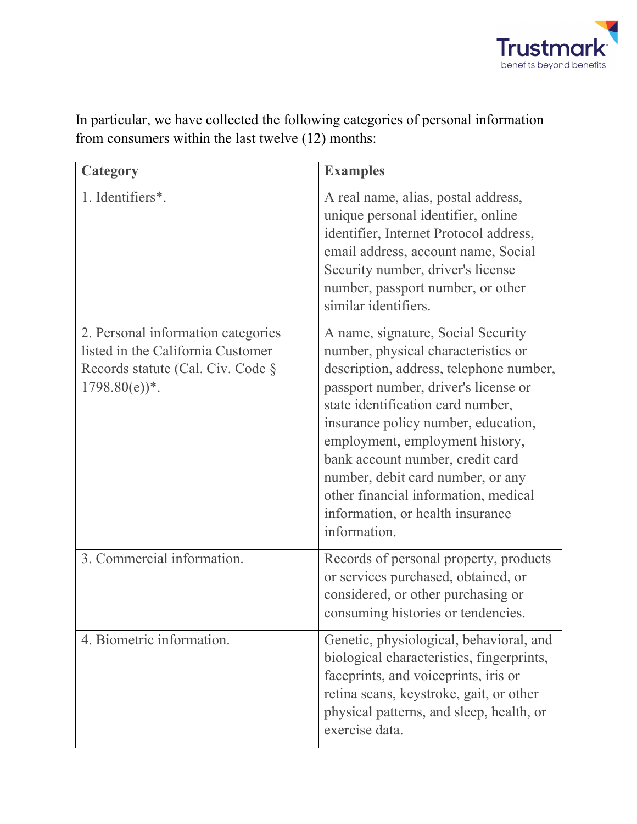

| Category                                                                                                                                    | <b>Examples</b>                                                                                                                                                                                                                                                                                                                                                                                                                                  |
|---------------------------------------------------------------------------------------------------------------------------------------------|--------------------------------------------------------------------------------------------------------------------------------------------------------------------------------------------------------------------------------------------------------------------------------------------------------------------------------------------------------------------------------------------------------------------------------------------------|
| 1. Identifiers*.                                                                                                                            | A real name, alias, postal address,<br>unique personal identifier, online<br>identifier, Internet Protocol address,<br>email address, account name, Social<br>Security number, driver's license<br>number, passport number, or other<br>similar identifiers.                                                                                                                                                                                     |
| 2. Personal information categories<br>listed in the California Customer<br>Records statute (Cal. Civ. Code §<br>$1798.80(e)$ <sup>*</sup> . | A name, signature, Social Security<br>number, physical characteristics or<br>description, address, telephone number,<br>passport number, driver's license or<br>state identification card number,<br>insurance policy number, education,<br>employment, employment history,<br>bank account number, credit card<br>number, debit card number, or any<br>other financial information, medical<br>information, or health insurance<br>information. |
| 3. Commercial information.                                                                                                                  | Records of personal property, products<br>or services purchased, obtained, or<br>considered, or other purchasing or<br>consuming histories or tendencies.                                                                                                                                                                                                                                                                                        |
| 4. Biometric information.                                                                                                                   | Genetic, physiological, behavioral, and<br>biological characteristics, fingerprints,<br>faceprints, and voiceprints, iris or<br>retina scans, keystroke, gait, or other<br>physical patterns, and sleep, health, or<br>exercise data.                                                                                                                                                                                                            |

In particular, we have collected the following categories of personal information from consumers within the last twelve (12) months: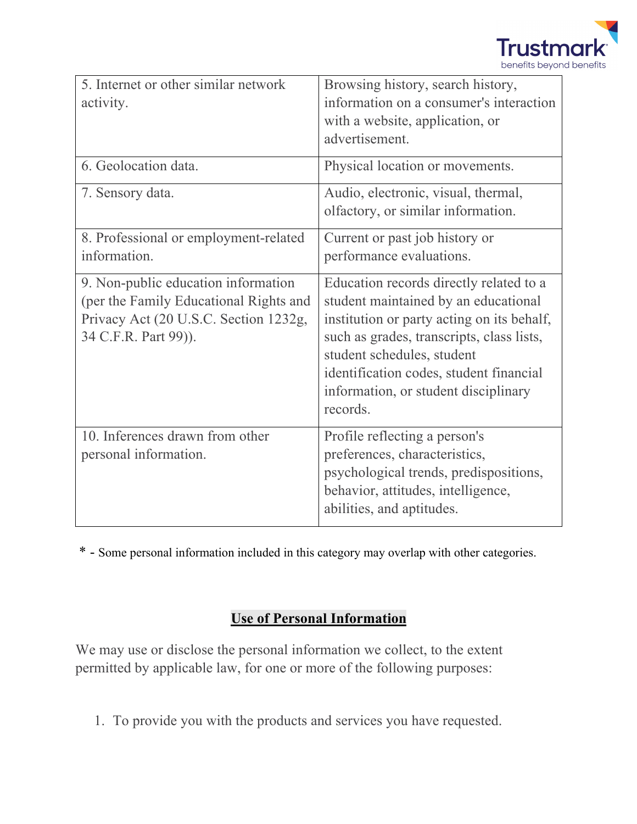

| 5. Internet or other similar network   | Browsing history, search history,          |
|----------------------------------------|--------------------------------------------|
| activity.                              | information on a consumer's interaction    |
|                                        | with a website, application, or            |
|                                        | advertisement.                             |
| 6. Geolocation data.                   | Physical location or movements.            |
| 7. Sensory data.                       | Audio, electronic, visual, thermal,        |
|                                        | olfactory, or similar information.         |
| 8. Professional or employment-related  | Current or past job history or             |
| information.                           | performance evaluations.                   |
| 9. Non-public education information    | Education records directly related to a    |
| (per the Family Educational Rights and | student maintained by an educational       |
| Privacy Act (20 U.S.C. Section 1232g,  | institution or party acting on its behalf, |
| 34 C.F.R. Part 99)).                   | such as grades, transcripts, class lists,  |
|                                        | student schedules, student                 |
|                                        | identification codes, student financial    |
|                                        | information, or student disciplinary       |
|                                        | records.                                   |
| 10. Inferences drawn from other        | Profile reflecting a person's              |
| personal information.                  | preferences, characteristics,              |
|                                        | psychological trends, predispositions,     |
|                                        | behavior, attitudes, intelligence,         |
|                                        | abilities, and aptitudes.                  |

\* - Some personal information included in this category may overlap with other categories.

## **Use of Personal Information**

We may use or disclose the personal information we collect, to the extent permitted by applicable law, for one or more of the following purposes:

1. To provide you with the products and services you have requested.